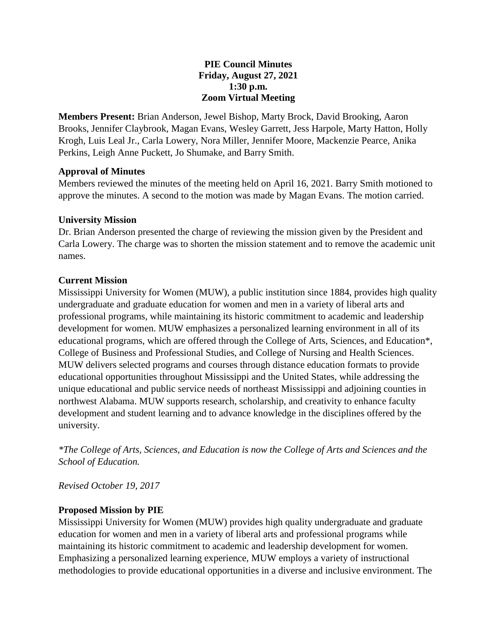### **PIE Council Minutes Friday, August 27, 2021 1:30 p.m. Zoom Virtual Meeting**

**Members Present:** Brian Anderson, Jewel Bishop, Marty Brock, David Brooking, Aaron Brooks, Jennifer Claybrook, Magan Evans, Wesley Garrett, Jess Harpole, Marty Hatton, Holly Krogh, Luis Leal Jr., Carla Lowery, Nora Miller, Jennifer Moore, Mackenzie Pearce, Anika Perkins, Leigh Anne Puckett, Jo Shumake, and Barry Smith.

## **Approval of Minutes**

Members reviewed the minutes of the meeting held on April 16, 2021. Barry Smith motioned to approve the minutes. A second to the motion was made by Magan Evans. The motion carried.

### **University Mission**

Dr. Brian Anderson presented the charge of reviewing the mission given by the President and Carla Lowery. The charge was to shorten the mission statement and to remove the academic unit names.

### **Current Mission**

Mississippi University for Women (MUW), a public institution since 1884, provides high quality undergraduate and graduate education for women and men in a variety of liberal arts and professional programs, while maintaining its historic commitment to academic and leadership development for women. MUW emphasizes a personalized learning environment in all of its educational programs, which are offered through the College of Arts, Sciences, and Education\*, College of Business and Professional Studies, and College of Nursing and Health Sciences. MUW delivers selected programs and courses through distance education formats to provide educational opportunities throughout Mississippi and the United States, while addressing the unique educational and public service needs of northeast Mississippi and adjoining counties in northwest Alabama. MUW supports research, scholarship, and creativity to enhance faculty development and student learning and to advance knowledge in the disciplines offered by the university.

*\*The College of Arts, Sciences, and Education is now the College of Arts and Sciences and the School of Education.*

*Revised October 19, 2017*

## **Proposed Mission by PIE**

Mississippi University for Women (MUW) provides high quality undergraduate and graduate education for women and men in a variety of liberal arts and professional programs while maintaining its historic commitment to academic and leadership development for women. Emphasizing a personalized learning experience, MUW employs a variety of instructional methodologies to provide educational opportunities in a diverse and inclusive environment. The